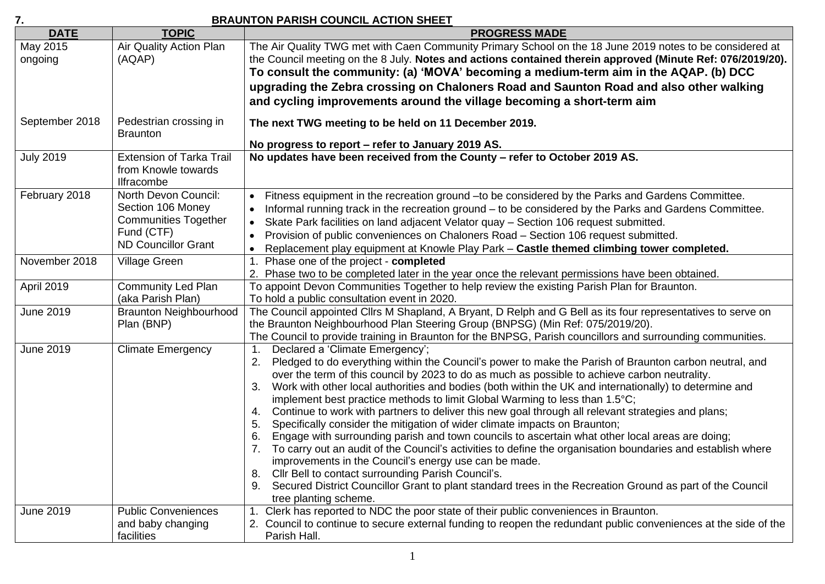## **7. BRAUNTON PARISH COUNCIL ACTION SHEET**

| Air Quality Action Plan<br>May 2015<br>The Air Quality TWG met with Caen Community Primary School on the 18 June 2019 notes to be considered at<br>the Council meeting on the 8 July. Notes and actions contained therein approved (Minute Ref: 076/2019/20).<br>ongoing<br>(AQAP)                                                                                                                                                                                                                                                                                                                                                                                                                                                                                                                                                                                                                                                                                                                                                                                                                                                                                                             |  |
|------------------------------------------------------------------------------------------------------------------------------------------------------------------------------------------------------------------------------------------------------------------------------------------------------------------------------------------------------------------------------------------------------------------------------------------------------------------------------------------------------------------------------------------------------------------------------------------------------------------------------------------------------------------------------------------------------------------------------------------------------------------------------------------------------------------------------------------------------------------------------------------------------------------------------------------------------------------------------------------------------------------------------------------------------------------------------------------------------------------------------------------------------------------------------------------------|--|
|                                                                                                                                                                                                                                                                                                                                                                                                                                                                                                                                                                                                                                                                                                                                                                                                                                                                                                                                                                                                                                                                                                                                                                                                |  |
|                                                                                                                                                                                                                                                                                                                                                                                                                                                                                                                                                                                                                                                                                                                                                                                                                                                                                                                                                                                                                                                                                                                                                                                                |  |
| To consult the community: (a) 'MOVA' becoming a medium-term aim in the AQAP. (b) DCC                                                                                                                                                                                                                                                                                                                                                                                                                                                                                                                                                                                                                                                                                                                                                                                                                                                                                                                                                                                                                                                                                                           |  |
| upgrading the Zebra crossing on Chaloners Road and Saunton Road and also other walking                                                                                                                                                                                                                                                                                                                                                                                                                                                                                                                                                                                                                                                                                                                                                                                                                                                                                                                                                                                                                                                                                                         |  |
| and cycling improvements around the village becoming a short-term aim                                                                                                                                                                                                                                                                                                                                                                                                                                                                                                                                                                                                                                                                                                                                                                                                                                                                                                                                                                                                                                                                                                                          |  |
| September 2018<br>Pedestrian crossing in<br>The next TWG meeting to be held on 11 December 2019.<br><b>Braunton</b>                                                                                                                                                                                                                                                                                                                                                                                                                                                                                                                                                                                                                                                                                                                                                                                                                                                                                                                                                                                                                                                                            |  |
| No progress to report - refer to January 2019 AS.                                                                                                                                                                                                                                                                                                                                                                                                                                                                                                                                                                                                                                                                                                                                                                                                                                                                                                                                                                                                                                                                                                                                              |  |
| <b>July 2019</b><br>No updates have been received from the County - refer to October 2019 AS.<br><b>Extension of Tarka Trail</b><br>from Knowle towards<br><b>Ilfracombe</b>                                                                                                                                                                                                                                                                                                                                                                                                                                                                                                                                                                                                                                                                                                                                                                                                                                                                                                                                                                                                                   |  |
| February 2018<br>North Devon Council:<br>Fitness equipment in the recreation ground - to be considered by the Parks and Gardens Committee.<br>$\bullet$                                                                                                                                                                                                                                                                                                                                                                                                                                                                                                                                                                                                                                                                                                                                                                                                                                                                                                                                                                                                                                        |  |
| Section 106 Money<br>Informal running track in the recreation ground – to be considered by the Parks and Gardens Committee.<br>$\bullet$                                                                                                                                                                                                                                                                                                                                                                                                                                                                                                                                                                                                                                                                                                                                                                                                                                                                                                                                                                                                                                                       |  |
| <b>Communities Together</b><br>Skate Park facilities on land adjacent Velator quay - Section 106 request submitted.<br>$\bullet$                                                                                                                                                                                                                                                                                                                                                                                                                                                                                                                                                                                                                                                                                                                                                                                                                                                                                                                                                                                                                                                               |  |
| Fund (CTF)<br>Provision of public conveniences on Chaloners Road - Section 106 request submitted.<br>$\bullet$                                                                                                                                                                                                                                                                                                                                                                                                                                                                                                                                                                                                                                                                                                                                                                                                                                                                                                                                                                                                                                                                                 |  |
| <b>ND Councillor Grant</b><br>Replacement play equipment at Knowle Play Park - Castle themed climbing tower completed.<br>$\bullet$                                                                                                                                                                                                                                                                                                                                                                                                                                                                                                                                                                                                                                                                                                                                                                                                                                                                                                                                                                                                                                                            |  |
| November 2018<br><b>Village Green</b><br>1. Phase one of the project - completed                                                                                                                                                                                                                                                                                                                                                                                                                                                                                                                                                                                                                                                                                                                                                                                                                                                                                                                                                                                                                                                                                                               |  |
| 2. Phase two to be completed later in the year once the relevant permissions have been obtained.                                                                                                                                                                                                                                                                                                                                                                                                                                                                                                                                                                                                                                                                                                                                                                                                                                                                                                                                                                                                                                                                                               |  |
| April 2019<br><b>Community Led Plan</b><br>To appoint Devon Communities Together to help review the existing Parish Plan for Braunton.<br>(aka Parish Plan)<br>To hold a public consultation event in 2020.                                                                                                                                                                                                                                                                                                                                                                                                                                                                                                                                                                                                                                                                                                                                                                                                                                                                                                                                                                                    |  |
| The Council appointed Cllrs M Shapland, A Bryant, D Relph and G Bell as its four representatives to serve on<br><b>June 2019</b><br><b>Braunton Neighbourhood</b><br>the Braunton Neighbourhood Plan Steering Group (BNPSG) (Min Ref: 075/2019/20).<br>Plan (BNP)                                                                                                                                                                                                                                                                                                                                                                                                                                                                                                                                                                                                                                                                                                                                                                                                                                                                                                                              |  |
| The Council to provide training in Braunton for the BNPSG, Parish councillors and surrounding communities.                                                                                                                                                                                                                                                                                                                                                                                                                                                                                                                                                                                                                                                                                                                                                                                                                                                                                                                                                                                                                                                                                     |  |
| <b>June 2019</b><br><b>Climate Emergency</b><br>Declared a 'Climate Emergency';<br>1.<br>Pledged to do everything within the Council's power to make the Parish of Braunton carbon neutral, and<br>2.<br>over the term of this council by 2023 to do as much as possible to achieve carbon neutrality.<br>Work with other local authorities and bodies (both within the UK and internationally) to determine and<br>3.<br>implement best practice methods to limit Global Warming to less than 1.5°C;<br>Continue to work with partners to deliver this new goal through all relevant strategies and plans;<br>4.<br>Specifically consider the mitigation of wider climate impacts on Braunton;<br>5.<br>Engage with surrounding parish and town councils to ascertain what other local areas are doing;<br>6.<br>To carry out an audit of the Council's activities to define the organisation boundaries and establish where<br>improvements in the Council's energy use can be made.<br>Cllr Bell to contact surrounding Parish Council's.<br>8.<br>Secured District Councillor Grant to plant standard trees in the Recreation Ground as part of the Council<br>9.<br>tree planting scheme. |  |
| Clerk has reported to NDC the poor state of their public conveniences in Braunton.<br><b>June 2019</b><br><b>Public Conveniences</b><br>1 <sub>1</sub>                                                                                                                                                                                                                                                                                                                                                                                                                                                                                                                                                                                                                                                                                                                                                                                                                                                                                                                                                                                                                                         |  |
| 2. Council to continue to secure external funding to reopen the redundant public conveniences at the side of the<br>and baby changing<br>facilities<br>Parish Hall.                                                                                                                                                                                                                                                                                                                                                                                                                                                                                                                                                                                                                                                                                                                                                                                                                                                                                                                                                                                                                            |  |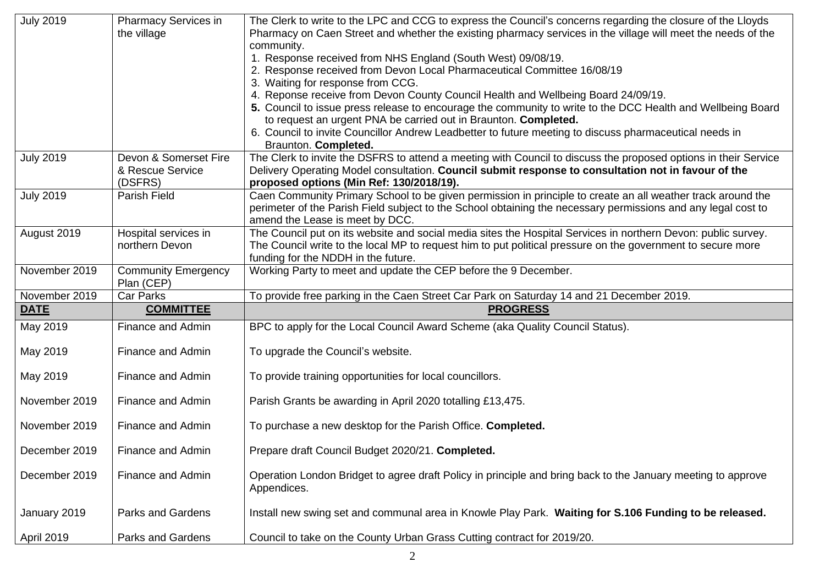| <b>July 2019</b> | <b>Pharmacy Services in</b><br>the village           | The Clerk to write to the LPC and CCG to express the Council's concerns regarding the closure of the Lloyds<br>Pharmacy on Caen Street and whether the existing pharmacy services in the village will meet the needs of the<br>community.<br>1. Response received from NHS England (South West) 09/08/19.<br>2. Response received from Devon Local Pharmaceutical Committee 16/08/19<br>3. Waiting for response from CCG.<br>4. Reponse receive from Devon County Council Health and Wellbeing Board 24/09/19.<br>5. Council to issue press release to encourage the community to write to the DCC Health and Wellbeing Board<br>to request an urgent PNA be carried out in Braunton. Completed.<br>6. Council to invite Councillor Andrew Leadbetter to future meeting to discuss pharmaceutical needs in<br>Braunton. Completed. |
|------------------|------------------------------------------------------|------------------------------------------------------------------------------------------------------------------------------------------------------------------------------------------------------------------------------------------------------------------------------------------------------------------------------------------------------------------------------------------------------------------------------------------------------------------------------------------------------------------------------------------------------------------------------------------------------------------------------------------------------------------------------------------------------------------------------------------------------------------------------------------------------------------------------------|
| <b>July 2019</b> | Devon & Somerset Fire<br>& Rescue Service<br>(DSFRS) | The Clerk to invite the DSFRS to attend a meeting with Council to discuss the proposed options in their Service<br>Delivery Operating Model consultation. Council submit response to consultation not in favour of the<br>proposed options (Min Ref: 130/2018/19).                                                                                                                                                                                                                                                                                                                                                                                                                                                                                                                                                                 |
| <b>July 2019</b> | Parish Field                                         | Caen Community Primary School to be given permission in principle to create an all weather track around the<br>perimeter of the Parish Field subject to the School obtaining the necessary permissions and any legal cost to<br>amend the Lease is meet by DCC.                                                                                                                                                                                                                                                                                                                                                                                                                                                                                                                                                                    |
| August 2019      | Hospital services in<br>northern Devon               | The Council put on its website and social media sites the Hospital Services in northern Devon: public survey.<br>The Council write to the local MP to request him to put political pressure on the government to secure more<br>funding for the NDDH in the future.                                                                                                                                                                                                                                                                                                                                                                                                                                                                                                                                                                |
| November 2019    | <b>Community Emergency</b><br>Plan (CEP)             | Working Party to meet and update the CEP before the 9 December.                                                                                                                                                                                                                                                                                                                                                                                                                                                                                                                                                                                                                                                                                                                                                                    |
| November 2019    | Car Parks                                            | To provide free parking in the Caen Street Car Park on Saturday 14 and 21 December 2019.                                                                                                                                                                                                                                                                                                                                                                                                                                                                                                                                                                                                                                                                                                                                           |
| <b>DATE</b>      | <b>COMMITTEE</b>                                     |                                                                                                                                                                                                                                                                                                                                                                                                                                                                                                                                                                                                                                                                                                                                                                                                                                    |
|                  |                                                      | <b>PROGRESS</b>                                                                                                                                                                                                                                                                                                                                                                                                                                                                                                                                                                                                                                                                                                                                                                                                                    |
| May 2019         | Finance and Admin                                    | BPC to apply for the Local Council Award Scheme (aka Quality Council Status).                                                                                                                                                                                                                                                                                                                                                                                                                                                                                                                                                                                                                                                                                                                                                      |
| May 2019         | Finance and Admin                                    | To upgrade the Council's website.                                                                                                                                                                                                                                                                                                                                                                                                                                                                                                                                                                                                                                                                                                                                                                                                  |
| May 2019         | Finance and Admin                                    | To provide training opportunities for local councillors.                                                                                                                                                                                                                                                                                                                                                                                                                                                                                                                                                                                                                                                                                                                                                                           |
| November 2019    | Finance and Admin                                    | Parish Grants be awarding in April 2020 totalling £13,475.                                                                                                                                                                                                                                                                                                                                                                                                                                                                                                                                                                                                                                                                                                                                                                         |
| November 2019    | Finance and Admin                                    | To purchase a new desktop for the Parish Office. Completed.                                                                                                                                                                                                                                                                                                                                                                                                                                                                                                                                                                                                                                                                                                                                                                        |
| December 2019    | Finance and Admin                                    | Prepare draft Council Budget 2020/21. Completed.                                                                                                                                                                                                                                                                                                                                                                                                                                                                                                                                                                                                                                                                                                                                                                                   |
| December 2019    | Finance and Admin                                    | Operation London Bridget to agree draft Policy in principle and bring back to the January meeting to approve<br>Appendices.                                                                                                                                                                                                                                                                                                                                                                                                                                                                                                                                                                                                                                                                                                        |
| January 2019     | <b>Parks and Gardens</b>                             | Install new swing set and communal area in Knowle Play Park. Waiting for S.106 Funding to be released.                                                                                                                                                                                                                                                                                                                                                                                                                                                                                                                                                                                                                                                                                                                             |